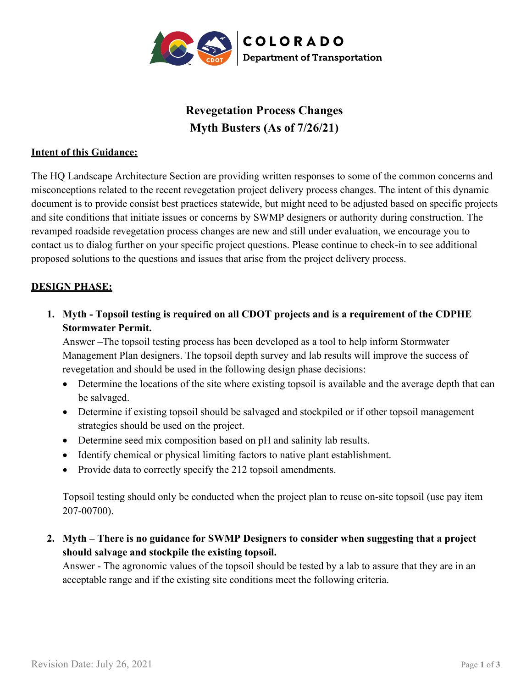

# **Revegetation Process Changes Myth Busters (As of 7/26/21)**

#### **Intent of this Guidance:**

The HQ Landscape Architecture Section are providing written responses to some of the common concerns and misconceptions related to the recent revegetation project delivery process changes. The intent of this dynamic document is to provide consist best practices statewide, but might need to be adjusted based on specific projects and site conditions that initiate issues or concerns by SWMP designers or authority during construction. The revamped roadside revegetation process changes are new and still under evaluation, we encourage you to contact us to dialog further on your specific project questions. Please continue to check-in to see additional proposed solutions to the questions and issues that arise from the project delivery process.

## **DESIGN PHASE:**

**1. Myth - Topsoil testing is required on all CDOT projects and is a requirement of the CDPHE Stormwater Permit.**

Answer –The topsoil testing process has been developed as a tool to help inform Stormwater Management Plan designers. The topsoil depth survey and lab results will improve the success of revegetation and should be used in the following design phase decisions:

- Determine the locations of the site where existing topsoil is available and the average depth that can be salvaged.
- Determine if existing topsoil should be salvaged and stockpiled or if other topsoil management strategies should be used on the project.
- Determine seed mix composition based on pH and salinity lab results.
- Identify chemical or physical limiting factors to native plant establishment.
- Provide data to correctly specify the 212 topsoil amendments.

Topsoil testing should only be conducted when the project plan to reuse on-site topsoil (use pay item 207-00700).

**2. Myth – There is no guidance for SWMP Designers to consider when suggesting that a project should salvage and stockpile the existing topsoil.**

Answer - The agronomic values of the topsoil should be tested by a lab to assure that they are in an acceptable range and if the existing site conditions meet the following criteria.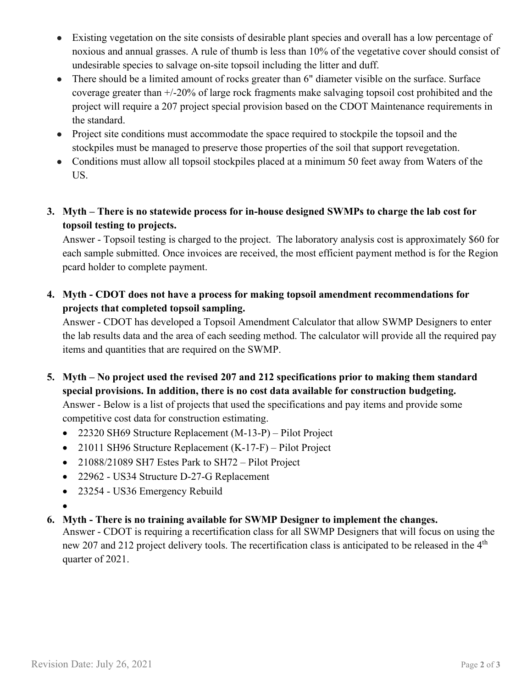- Existing vegetation on the site consists of desirable plant species and overall has a low percentage of noxious and annual grasses. A rule of thumb is less than 10% of the vegetative cover should consist of undesirable species to salvage on-site topsoil including the litter and duff.
- There should be a limited amount of rocks greater than 6" diameter visible on the surface. Surface coverage greater than +/-20% of large rock fragments make salvaging topsoil cost prohibited and the project will require a 207 project special provision based on the CDOT Maintenance requirements in the standard.
- Project site conditions must accommodate the space required to stockpile the topsoil and the stockpiles must be managed to preserve those properties of the soil that support revegetation.
- Conditions must allow all topsoil stockpiles placed at a minimum 50 feet away from Waters of the US.
- **3. Myth – There is no statewide process for in-house designed SWMPs to charge the lab cost for topsoil testing to projects.**

Answer - Topsoil testing is charged to the project. The laboratory analysis cost is approximately \$60 for each sample submitted. Once invoices are received, the most efficient payment method is for the Region pcard holder to complete payment.

**4. Myth - CDOT does not have a process for making topsoil amendment recommendations for projects that completed topsoil sampling.**

Answer - CDOT has developed a Topsoil Amendment Calculator that allow SWMP Designers to enter the lab results data and the area of each seeding method. The calculator will provide all the required pay items and quantities that are required on the SWMP.

- **5. Myth – No project used the revised 207 and 212 specifications prior to making them standard special provisions. In addition, there is no cost data available for construction budgeting.** Answer - Below is a list of projects that used the specifications and pay items and provide some competitive cost data for construction estimating.
	- 22320 SH69 Structure Replacement (M-13-P) Pilot Project
	- 21011 SH96 Structure Replacement (K-17-F) Pilot Project
	- 21088/21089 SH7 Estes Park to SH72 Pilot Project
	- 22962 US34 Structure D-27-G Replacement
	- 23254 US36 Emergency Rebuild
	- •
- **6. Myth - There is no training available for SWMP Designer to implement the changes.**

Answer - CDOT is requiring a recertification class for all SWMP Designers that will focus on using the new 207 and 212 project delivery tools. The recertification class is anticipated to be released in the 4<sup>th</sup> quarter of 2021.